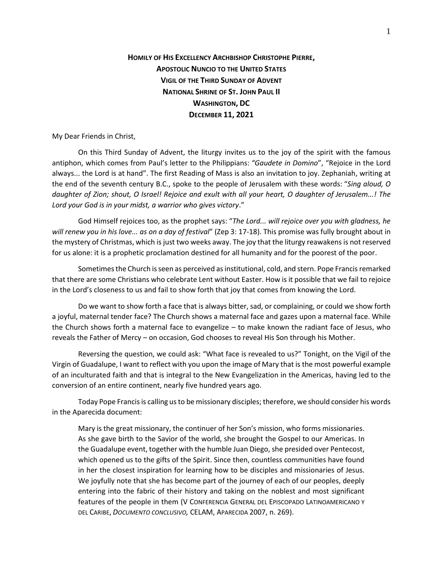## **HOMILY OF HIS EXCELLENCY ARCHBISHOP CHRISTOPHE PIERRE, APOSTOLIC NUNCIO TO THE UNITED STATES VIGIL OF THE THIRD SUNDAY OF ADVENT NATIONAL SHRINE OF ST. JOHN PAUL II WASHINGTON, DC DECEMBER 11, 2021**

My Dear Friends in Christ,

On this Third Sunday of Advent, the liturgy invites us to the joy of the spirit with the famous antiphon, which comes from Paul's letter to the Philippians: *"Gaudete in Domino*", "Rejoice in the Lord always... the Lord is at hand". The first Reading of Mass is also an invitation to joy. Zephaniah, writing at the end of the seventh century B.C., spoke to the people of Jerusalem with these words: "*Sing aloud, O daughter of Zion; shout, O Israel! Rejoice and exult with all your heart, O daughter of Jerusalem...! The Lord your God is in your midst, a warrior who gives victory*."

God Himself rejoices too, as the prophet says: "*The Lord... will rejoice over you with gladness, he will renew you in his love... as on a day of festival*" (Zep 3: 17-18). This promise was fully brought about in the mystery of Christmas, which is just two weeks away. The joy that the liturgy reawakens is not reserved for us alone: it is a prophetic proclamation destined for all humanity and for the poorest of the poor.

Sometimes the Church is seen as perceived as institutional, cold, and stern. Pope Francis remarked that there are some Christians who celebrate Lent without Easter. How is it possible that we fail to rejoice in the Lord's closeness to us and fail to show forth that joy that comes from knowing the Lord.

Do we want to show forth a face that is always bitter, sad, or complaining, or could we show forth a joyful, maternal tender face? The Church shows a maternal face and gazes upon a maternal face. While the Church shows forth a maternal face to evangelize – to make known the radiant face of Jesus, who reveals the Father of Mercy – on occasion, God chooses to reveal His Son through his Mother.

Reversing the question, we could ask: "What face is revealed to us?" Tonight, on the Vigil of the Virgin of Guadalupe, I want to reflect with you upon the image of Mary that is the most powerful example of an inculturated faith and that is integral to the New Evangelization in the Americas, having led to the conversion of an entire continent, nearly five hundred years ago.

Today Pope Francisis calling us to be missionary disciples; therefore, we should consider his words in the Aparecida document:

Mary is the great missionary, the continuer of her Son's mission, who forms missionaries. As she gave birth to the Savior of the world, she brought the Gospel to our Americas. In the Guadalupe event, together with the humble Juan Diego, she presided over Pentecost, which opened us to the gifts of the Spirit. Since then, countless communities have found in her the closest inspiration for learning how to be disciples and missionaries of Jesus. We joyfully note that she has become part of the journey of each of our peoples, deeply entering into the fabric of their history and taking on the noblest and most significant features of the people in them (V CONFERENCIA GENERAL DEL EPISCOPADO LATINOAMERICANO Y DEL CARIBE, *DOCUMENTO CONCLUSIVO,* CELAM, APARECIDA 2007, n. 269).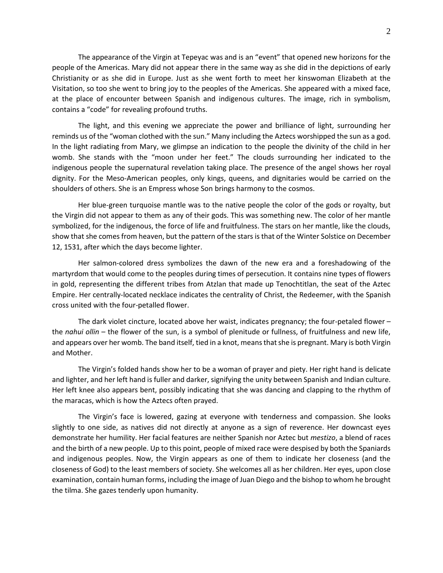The appearance of the Virgin at Tepeyac was and is an "event" that opened new horizons for the people of the Americas. Mary did not appear there in the same way as she did in the depictions of early Christianity or as she did in Europe. Just as she went forth to meet her kinswoman Elizabeth at the Visitation, so too she went to bring joy to the peoples of the Americas. She appeared with a mixed face, at the place of encounter between Spanish and indigenous cultures. The image, rich in symbolism, contains a "code" for revealing profound truths.

The light, and this evening we appreciate the power and brilliance of light, surrounding her reminds us of the "woman clothed with the sun." Many including the Aztecs worshipped the sun as a god. In the light radiating from Mary, we glimpse an indication to the people the divinity of the child in her womb. She stands with the "moon under her feet." The clouds surrounding her indicated to the indigenous people the supernatural revelation taking place. The presence of the angel shows her royal dignity. For the Meso-American peoples, only kings, queens, and dignitaries would be carried on the shoulders of others. She is an Empress whose Son brings harmony to the cosmos.

Her blue-green turquoise mantle was to the native people the color of the gods or royalty, but the Virgin did not appear to them as any of their gods. This was something new. The color of her mantle symbolized, for the indigenous, the force of life and fruitfulness. The stars on her mantle, like the clouds, show that she comes from heaven, but the pattern of the stars is that of the Winter Solstice on December 12, 1531, after which the days become lighter.

Her salmon-colored dress symbolizes the dawn of the new era and a foreshadowing of the martyrdom that would come to the peoples during times of persecution. It contains nine types of flowers in gold, representing the different tribes from Atzlan that made up Tenochtitlan, the seat of the Aztec Empire. Her centrally-located necklace indicates the centrality of Christ, the Redeemer, with the Spanish cross united with the four-petalled flower.

The dark violet cincture, located above her waist, indicates pregnancy; the four-petaled flower – the *nahui ollin* – the flower of the sun, is a symbol of plenitude or fullness, of fruitfulness and new life, and appears over her womb. The band itself, tied in a knot, means that she is pregnant. Mary is both Virgin and Mother.

The Virgin's folded hands show her to be a woman of prayer and piety. Her right hand is delicate and lighter, and her left hand is fuller and darker, signifying the unity between Spanish and Indian culture. Her left knee also appears bent, possibly indicating that she was dancing and clapping to the rhythm of the maracas, which is how the Aztecs often prayed.

The Virgin's face is lowered, gazing at everyone with tenderness and compassion. She looks slightly to one side, as natives did not directly at anyone as a sign of reverence. Her downcast eyes demonstrate her humility. Her facial features are neither Spanish nor Aztec but *mestizo*, a blend of races and the birth of a new people. Up to this point, people of mixed race were despised by both the Spaniards and indigenous peoples. Now, the Virgin appears as one of them to indicate her closeness (and the closeness of God) to the least members of society. She welcomes all as her children. Her eyes, upon close examination, contain human forms, including the image of Juan Diego and the bishop to whom he brought the tilma. She gazes tenderly upon humanity.